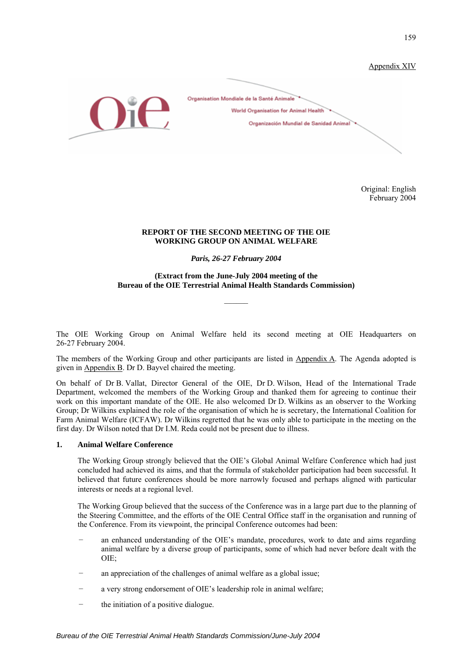|   | Appendix XIV                                                                                                                |
|---|-----------------------------------------------------------------------------------------------------------------------------|
| H | Organisation Mondiale de la Santé Animale<br>World Organisation for Animal Health<br>Organización Mundial de Sanidad Animal |

Original: English February 2004

### **REPORT OF THE SECOND MEETING OF THE OIE WORKING GROUP ON ANIMAL WELFARE**

*Paris, 26-27 February 2004* 

**(Extract from the June-July 2004 meeting of the Bureau of the OIE Terrestrial Animal Health Standards Commission)** 

 $\mathcal{L}=\mathcal{L}$ 

The OIE Working Group on Animal Welfare held its second meeting at OIE Headquarters on 26-27 February 2004.

The members of the Working Group and other participants are listed in Appendix A. The Agenda adopted is given in Appendix B. Dr D. Bayvel chaired the meeting.

On behalf of Dr B. Vallat, Director General of the OIE, Dr D. Wilson, Head of the International Trade Department, welcomed the members of the Working Group and thanked them for agreeing to continue their work on this important mandate of the OIE. He also welcomed Dr D. Wilkins as an observer to the Working Group; Dr Wilkins explained the role of the organisation of which he is secretary, the International Coalition for Farm Animal Welfare (ICFAW). Dr Wilkins regretted that he was only able to participate in the meeting on the first day. Dr Wilson noted that Dr I.M. Reda could not be present due to illness.

### **1. Animal Welfare Conference**

The Working Group strongly believed that the OIE's Global Animal Welfare Conference which had just concluded had achieved its aims, and that the formula of stakeholder participation had been successful. It believed that future conferences should be more narrowly focused and perhaps aligned with particular interests or needs at a regional level.

The Working Group believed that the success of the Conference was in a large part due to the planning of the Steering Committee, and the efforts of the OIE Central Office staff in the organisation and running of the Conference. From its viewpoint, the principal Conference outcomes had been:

- an enhanced understanding of the OIE's mandate, procedures, work to date and aims regarding animal welfare by a diverse group of participants, some of which had never before dealt with the OIE;
- an appreciation of the challenges of animal welfare as a global issue;
- a very strong endorsement of OIE's leadership role in animal welfare;
- − the initiation of a positive dialogue.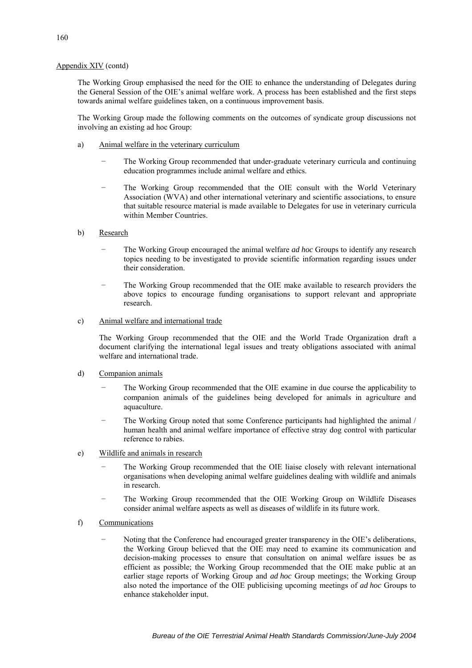The Working Group emphasised the need for the OIE to enhance the understanding of Delegates during the General Session of the OIE's animal welfare work. A process has been established and the first steps towards animal welfare guidelines taken, on a continuous improvement basis.

The Working Group made the following comments on the outcomes of syndicate group discussions not involving an existing ad hoc Group:

- a) Animal welfare in the veterinary curriculum
	- The Working Group recommended that under-graduate veterinary curricula and continuing education programmes include animal welfare and ethics.
	- The Working Group recommended that the OIE consult with the World Veterinary Association (WVA) and other international veterinary and scientific associations, to ensure that suitable resource material is made available to Delegates for use in veterinary curricula within Member Countries.
- b) Research
	- − The Working Group encouraged the animal welfare *ad hoc* Groups to identify any research topics needing to be investigated to provide scientific information regarding issues under their consideration.
	- The Working Group recommended that the OIE make available to research providers the above topics to encourage funding organisations to support relevant and appropriate research.
- c) Animal welfare and international trade

The Working Group recommended that the OIE and the World Trade Organization draft a document clarifying the international legal issues and treaty obligations associated with animal welfare and international trade.

- d) Companion animals
	- The Working Group recommended that the OIE examine in due course the applicability to companion animals of the guidelines being developed for animals in agriculture and aquaculture.
	- The Working Group noted that some Conference participants had highlighted the animal / human health and animal welfare importance of effective stray dog control with particular reference to rabies.
- e) Wildlife and animals in research
	- The Working Group recommended that the OIE liaise closely with relevant international organisations when developing animal welfare guidelines dealing with wildlife and animals in research.
	- The Working Group recommended that the OIE Working Group on Wildlife Diseases consider animal welfare aspects as well as diseases of wildlife in its future work.
- f) Communications
	- Noting that the Conference had encouraged greater transparency in the OIE's deliberations, the Working Group believed that the OIE may need to examine its communication and decision-making processes to ensure that consultation on animal welfare issues be as efficient as possible; the Working Group recommended that the OIE make public at an earlier stage reports of Working Group and *ad hoc* Group meetings; the Working Group also noted the importance of the OIE publicising upcoming meetings of *ad hoc* Groups to enhance stakeholder input.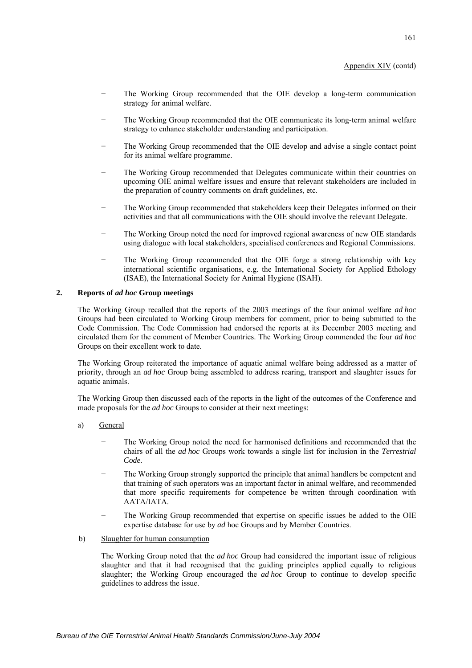- The Working Group recommended that the OIE develop a long-term communication strategy for animal welfare.
- The Working Group recommended that the OIE communicate its long-term animal welfare strategy to enhance stakeholder understanding and participation.
- The Working Group recommended that the OIE develop and advise a single contact point for its animal welfare programme.
- The Working Group recommended that Delegates communicate within their countries on upcoming OIE animal welfare issues and ensure that relevant stakeholders are included in the preparation of country comments on draft guidelines, etc.
- The Working Group recommended that stakeholders keep their Delegates informed on their activities and that all communications with the OIE should involve the relevant Delegate.
- The Working Group noted the need for improved regional awareness of new OIE standards using dialogue with local stakeholders, specialised conferences and Regional Commissions.
- The Working Group recommended that the OIE forge a strong relationship with key international scientific organisations, e.g. the International Society for Applied Ethology (ISAE), the International Society for Animal Hygiene (ISAH).

### **2. Reports of** *ad hoc* **Group meetings**

The Working Group recalled that the reports of the 2003 meetings of the four animal welfare *ad hoc* Groups had been circulated to Working Group members for comment, prior to being submitted to the Code Commission. The Code Commission had endorsed the reports at its December 2003 meeting and circulated them for the comment of Member Countries. The Working Group commended the four *ad hoc* Groups on their excellent work to date.

The Working Group reiterated the importance of aquatic animal welfare being addressed as a matter of priority, through an *ad hoc* Group being assembled to address rearing, transport and slaughter issues for aquatic animals.

The Working Group then discussed each of the reports in the light of the outcomes of the Conference and made proposals for the *ad hoc* Groups to consider at their next meetings:

- a) General
	- The Working Group noted the need for harmonised definitions and recommended that the chairs of all the *ad hoc* Groups work towards a single list for inclusion in the *Terrestrial Code.*
	- The Working Group strongly supported the principle that animal handlers be competent and that training of such operators was an important factor in animal welfare, and recommended that more specific requirements for competence be written through coordination with AATA/IATA.
	- The Working Group recommended that expertise on specific issues be added to the OIE expertise database for use by *ad* hoc Groups and by Member Countries.
- b) Slaughter for human consumption

The Working Group noted that the *ad hoc* Group had considered the important issue of religious slaughter and that it had recognised that the guiding principles applied equally to religious slaughter; the Working Group encouraged the *ad hoc* Group to continue to develop specific guidelines to address the issue.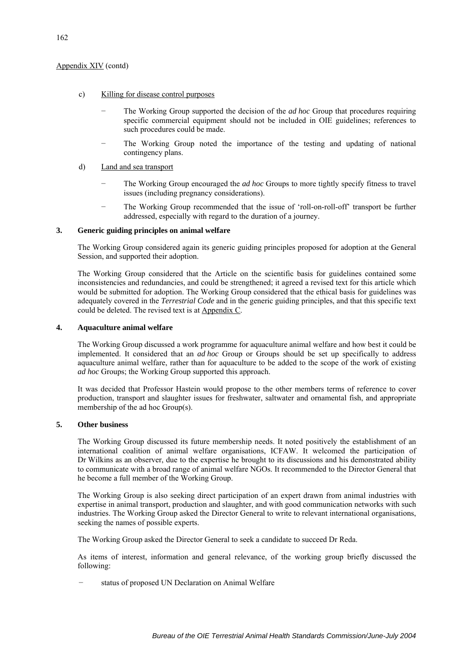#### c) Killing for disease control purposes

- The Working Group supported the decision of the *ad hoc* Group that procedures requiring specific commercial equipment should not be included in OIE guidelines; references to such procedures could be made.
- The Working Group noted the importance of the testing and updating of national contingency plans.

#### d) Land and sea transport

- − The Working Group encouraged the *ad hoc* Groups to more tightly specify fitness to travel issues (including pregnancy considerations).
- The Working Group recommended that the issue of 'roll-on-roll-off' transport be further addressed, especially with regard to the duration of a journey.

### **3. Generic guiding principles on animal welfare**

The Working Group considered again its generic guiding principles proposed for adoption at the General Session, and supported their adoption.

The Working Group considered that the Article on the scientific basis for guidelines contained some inconsistencies and redundancies, and could be strengthened; it agreed a revised text for this article which would be submitted for adoption. The Working Group considered that the ethical basis for guidelines was adequately covered in the *Terrestrial Code* and in the generic guiding principles, and that this specific text could be deleted. The revised text is at Appendix C.

### **4. Aquaculture animal welfare**

The Working Group discussed a work programme for aquaculture animal welfare and how best it could be implemented. It considered that an *ad hoc* Group or Groups should be set up specifically to address aquaculture animal welfare, rather than for aquaculture to be added to the scope of the work of existing *ad hoc* Groups; the Working Group supported this approach.

It was decided that Professor Hastein would propose to the other members terms of reference to cover production, transport and slaughter issues for freshwater, saltwater and ornamental fish, and appropriate membership of the ad hoc Group(s).

### **5. Other business**

The Working Group discussed its future membership needs. It noted positively the establishment of an international coalition of animal welfare organisations, ICFAW. It welcomed the participation of Dr Wilkins as an observer, due to the expertise he brought to its discussions and his demonstrated ability to communicate with a broad range of animal welfare NGOs. It recommended to the Director General that he become a full member of the Working Group.

The Working Group is also seeking direct participation of an expert drawn from animal industries with expertise in animal transport, production and slaughter, and with good communication networks with such industries. The Working Group asked the Director General to write to relevant international organisations, seeking the names of possible experts.

The Working Group asked the Director General to seek a candidate to succeed Dr Reda.

As items of interest, information and general relevance, of the working group briefly discussed the following:

status of proposed UN Declaration on Animal Welfare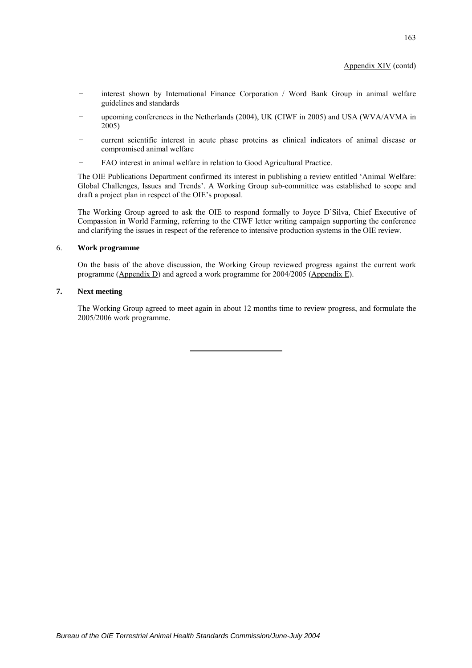163

- interest shown by International Finance Corporation / Word Bank Group in animal welfare guidelines and standards
- upcoming conferences in the Netherlands (2004), UK (CIWF in 2005) and USA (WVA/AVMA in 2005)
- − current scientific interest in acute phase proteins as clinical indicators of animal disease or compromised animal welfare
- FAO interest in animal welfare in relation to Good Agricultural Practice.

The OIE Publications Department confirmed its interest in publishing a review entitled 'Animal Welfare: Global Challenges, Issues and Trends'. A Working Group sub-committee was established to scope and draft a project plan in respect of the OIE's proposal.

The Working Group agreed to ask the OIE to respond formally to Joyce D'Silva, Chief Executive of Compassion in World Farming, referring to the CIWF letter writing campaign supporting the conference and clarifying the issues in respect of the reference to intensive production systems in the OIE review.

#### 6. **Work programme**

On the basis of the above discussion, the Working Group reviewed progress against the current work programme (Appendix D) and agreed a work programme for  $2004/2005$  (Appendix E).

#### **7. Next meeting**

The Working Group agreed to meet again in about 12 months time to review progress, and formulate the 2005/2006 work programme.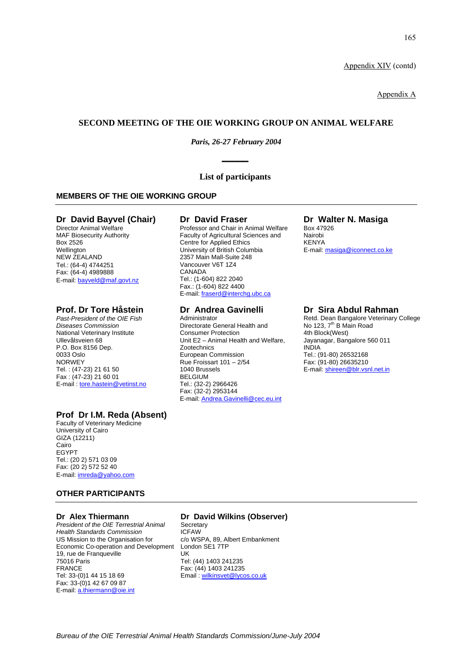Appendix A

## **SECOND MEETING OF THE OIE WORKING GROUP ON ANIMAL WELFARE**

*Paris, 26-27 February 2004*  **\_\_\_\_\_**

### **List of participants**

#### **MEMBERS OF THE OIE WORKING GROUP**

#### **Dr David Bayvel (Chair)**

Director Animal Welfare MAF Biosecurity Authority Box 2526 Wellington NEW ZEALAND Tel.: (64-4) 4744251 Fax: (64-4) 4989888 E-mail: bayveld@maf.govt.nz

## **Prof. Dr Tore Håstein**

*Past-President of the OIE Fish Diseases Commission*  National Veterinary Institute Ullevålsveien 68 P.O. Box 8156 Dep. 0033 Oslo **NORWEY** Tel. : (47-23) 21 61 50 Fax : (47-23) 21 60 01 E-mail : tore.hastein@vetinst.no

#### **Prof Dr I.M. Reda (Absent)**

Faculty of Veterinary Medicine University of Cairo GIZA (12211) Cairo EGYPT Tel.: (20 2) 571 03 09 Fax: (20 2) 572 52 40 E-mail: imreda@yahoo.com

## **OTHER PARTICIPANTS**

#### **Dr Alex Thiermann**

*President of the OIE Terrestrial Animal Health Standards Commission*  US Mission to the Organisation for Economic Co-operation and Development London SE1 7TP 19, rue de Franqueville 75016 Paris FRANCE Tel: 33-(0)1 44 15 18 69 Fax: 33-(0)1 42 67 09 87 E-mail: a.thiermann@oie.int

#### **Dr David Fraser**

Professor and Chair in Animal Welfare Faculty of Agricultural Sciences and Centre for Applied Ethics University of British Columbia 2357 Main Mall-Suite 248 Vancouver V6T 1Z4 CANADA Tel.: (1-604) 822 2040 Fax.: (1-604) 822 4400 E-mail: fraserd@interchg.ubc.ca

#### **Dr Andrea Gavinelli**

Administrator Directorate General Health and Consumer Protection Unit E2 – Animal Health and Welfare, Zootechnics European Commission Rue Froissart 101 – 2/54 1040 Brussels BELGIUM Tel.: (32-2) 2966426 Fax: (32-2) 2953144 E-mail: Andrea.Gavinelli@cec.eu.int

#### **Dr Walter N. Masiga**

Box 47926 Nairobi KENYA E-mail: masiga@iconnect.co.ke

### **Dr Sira Abdul Rahman**

Retd. Dean Bangalore Veterinary College No  $123.7<sup>th</sup>$  B Main Road 4th Block(West) Jayanagar, Bangalore 560 011 INDIA Tel.: (91-80) 26532168 Fax: (91-80) 26635210 E-mail: shireen@blr.vsnl.net.in

## **Dr David Wilkins (Observer)**

**Secretary** ICFAW c/o WSPA, 89, Albert Embankment UK Tel: (44) 1403 241235 Fax: (44) 1403 241235 Email : wilkinsvet@lycos.co.uk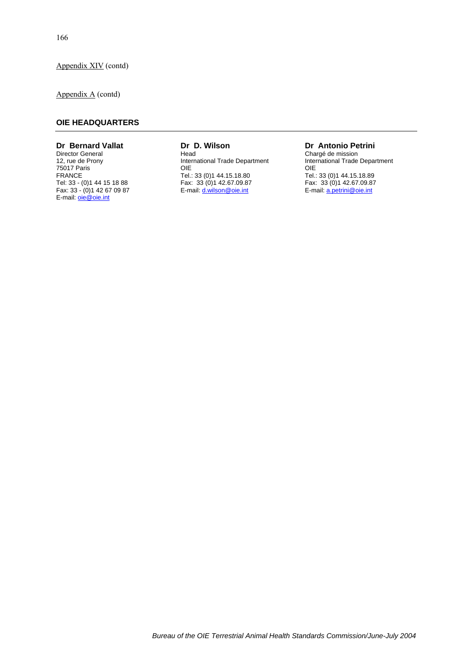Appendix A (contd)

#### **OIE HEADQUARTERS**

## **Dr Bernard Vallat**

Director General 12, rue de Prony 75017 Paris FRANCE Tel: 33 - (0)1 44 15 18 88 Fax: 33 - (0) 1 42 67 09 87 E-mail: *oie@oie.int* 

**Dr D. Wilson**  Head International Trade Department OIE Tel.: 33 (0)1 44.15.18.80 Fax: 33 (0)1 42.67.09.87 E-mail: <u>d.wilson@oie.int</u>

## **Dr Antonio Petrini**

Chargé de mission International Trade Department OIE Tel.: 33 (0)1 44.15.18.89 Fax: 33 (0)1 42.67.09.87 E-mail: a.petrini@oie.int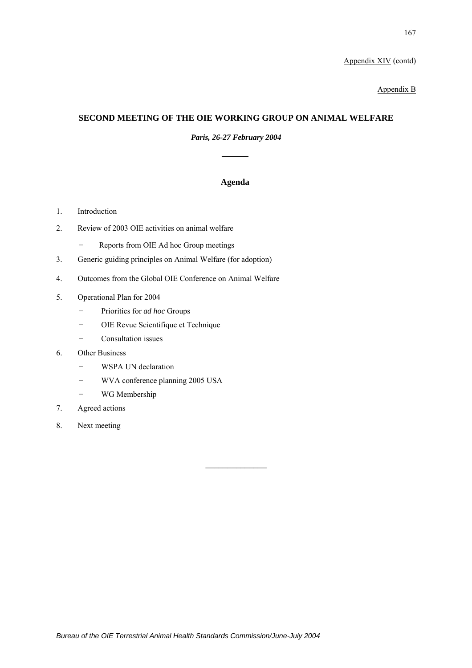Appendix B

# **SECOND MEETING OF THE OIE WORKING GROUP ON ANIMAL WELFARE**

*Paris, 26-27 February 2004*   $\mathcal{L}$ 

## **Agenda**

 $\frac{1}{2}$  ,  $\frac{1}{2}$  ,  $\frac{1}{2}$  ,  $\frac{1}{2}$  ,  $\frac{1}{2}$  ,  $\frac{1}{2}$  ,  $\frac{1}{2}$  ,  $\frac{1}{2}$ 

- 1. Introduction
- 2. Review of 2003 OIE activities on animal welfare
	- − Reports from OIE Ad hoc Group meetings
- 3. Generic guiding principles on Animal Welfare (for adoption)
- 4. Outcomes from the Global OIE Conference on Animal Welfare
- 5. Operational Plan for 2004
	- − Priorities for *ad hoc* Groups
	- − OIE Revue Scientifique et Technique
	- − Consultation issues
- 6. Other Business
	- − WSPA UN declaration
	- − WVA conference planning 2005 USA
	- − WG Membership
- 7. Agreed actions
- 8. Next meeting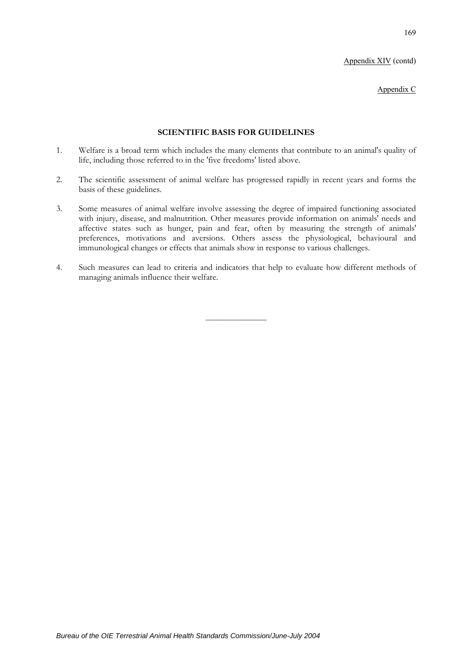## Appendix C

## **SCIENTIFIC BASIS FOR GUIDELINES**

- 1. Welfare is a broad term which includes the many elements that contribute to an animal's quality of life, including those referred to in the 'five freedoms' listed above.
- 2. The scientific assessment of animal welfare has progressed rapidly in recent years and forms the basis of these guidelines.
- 3. Some measures of animal welfare involve assessing the degree of impaired functioning associated with injury, disease, and malnutrition. Other measures provide information on animals' needs and affective states such as hunger, pain and fear, often by measuring the strength of animals' preferences, motivations and aversions. Others assess the physiological, behavioural and immunological changes or effects that animals show in response to various challenges.
- 4. Such measures can lead to criteria and indicators that help to evaluate how different methods of managing animals influence their welfare.

 $\mathcal{L}_\text{max}$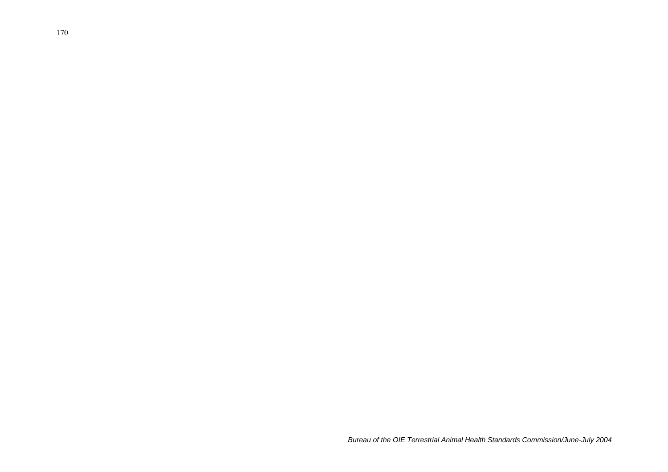170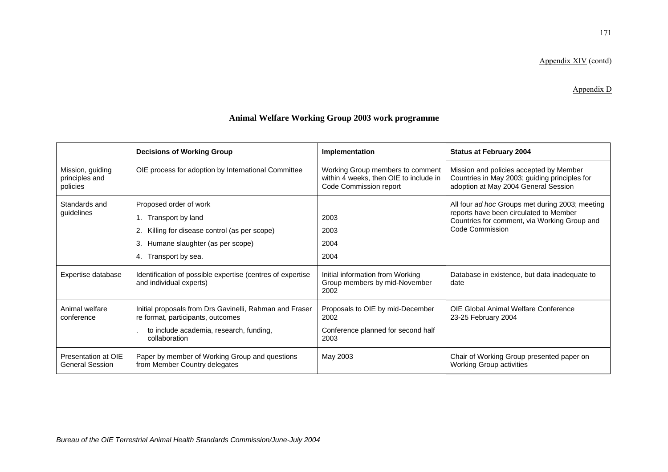## Appendix D

|                                                | <b>Decisions of Working Group</b>                                                                                                                                   | Implementation                                                                                       | <b>Status at February 2004</b>                                                                                                                               |
|------------------------------------------------|---------------------------------------------------------------------------------------------------------------------------------------------------------------------|------------------------------------------------------------------------------------------------------|--------------------------------------------------------------------------------------------------------------------------------------------------------------|
| Mission, guiding<br>principles and<br>policies | OIE process for adoption by International Committee                                                                                                                 | Working Group members to comment<br>within 4 weeks, then OIE to include in<br>Code Commission report | Mission and policies accepted by Member<br>Countries in May 2003; guiding principles for<br>adoption at May 2004 General Session                             |
| Standards and<br>guidelines                    | Proposed order of work<br>1. Transport by land<br>Killing for disease control (as per scope)<br>2.<br>Humane slaughter (as per scope)<br>3.<br>4. Transport by sea. | 2003<br>2003<br>2004<br>2004                                                                         | All four ad hoc Groups met during 2003; meeting<br>reports have been circulated to Member<br>Countries for comment, via Working Group and<br>Code Commission |
| Expertise database                             | Identification of possible expertise (centres of expertise<br>and individual experts)                                                                               | Initial information from Working<br>Group members by mid-November<br>2002                            | Database in existence, but data inadequate to<br>date                                                                                                        |
| Animal welfare<br>conference                   | Initial proposals from Drs Gavinelli, Rahman and Fraser<br>re format, participants, outcomes<br>to include academia, research, funding,<br>collaboration            | Proposals to OIE by mid-December<br>2002<br>Conference planned for second half<br>2003               | OIE Global Animal Welfare Conference<br>23-25 February 2004                                                                                                  |
| Presentation at OIE<br><b>General Session</b>  | Paper by member of Working Group and questions<br>from Member Country delegates                                                                                     | May 2003                                                                                             | Chair of Working Group presented paper on<br>Working Group activities                                                                                        |

# **Animal Welfare Working Group 2003 work programme**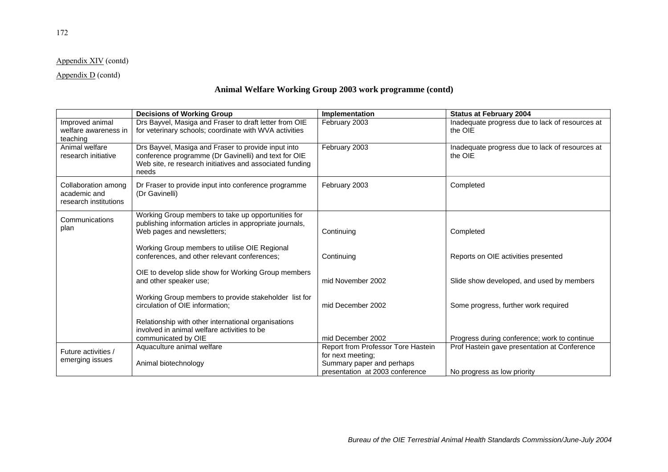Appendix  $D$  (contd)

# **Animal Welfare Working Group 2003 work programme (contd)**

|                                                              | <b>Decisions of Working Group</b>                                                                                                                                                | Implementation                     | <b>Status at February 2004</b>                             |
|--------------------------------------------------------------|----------------------------------------------------------------------------------------------------------------------------------------------------------------------------------|------------------------------------|------------------------------------------------------------|
| Improved animal<br>welfare awareness in<br>teaching          | Drs Bayvel, Masiga and Fraser to draft letter from OIE<br>for veterinary schools; coordinate with WVA activities                                                                 | February 2003                      | Inadequate progress due to lack of resources at<br>the OIE |
| Animal welfare<br>research initiative                        | Drs Bayvel, Masiga and Fraser to provide input into<br>conference programme (Dr Gavinelli) and text for OIE<br>Web site, re research initiatives and associated funding<br>needs | February 2003                      | Inadequate progress due to lack of resources at<br>the OIE |
| Collaboration among<br>academic and<br>research institutions | Dr Fraser to provide input into conference programme<br>(Dr Gavinelli)                                                                                                           | February 2003                      | Completed                                                  |
| Communications<br>plan                                       | Working Group members to take up opportunities for<br>publishing information articles in appropriate journals,<br>Web pages and newsletters;                                     | Continuing                         | Completed                                                  |
|                                                              | Working Group members to utilise OIE Regional<br>conferences, and other relevant conferences;                                                                                    | Continuing                         | Reports on OIE activities presented                        |
|                                                              | OIE to develop slide show for Working Group members<br>and other speaker use;                                                                                                    | mid November 2002                  | Slide show developed, and used by members                  |
|                                                              | Working Group members to provide stakeholder list for<br>circulation of OIE information;                                                                                         | mid December 2002                  | Some progress, further work required                       |
|                                                              | Relationship with other international organisations<br>involved in animal welfare activities to be                                                                               |                                    |                                                            |
|                                                              | communicated by OIE                                                                                                                                                              | mid December 2002                  | Progress during conference; work to continue               |
| Future activities /                                          | Aquaculture animal welfare                                                                                                                                                       | Report from Professor Tore Hastein | Prof Hastein gave presentation at Conference               |
| emerging issues                                              |                                                                                                                                                                                  | for next meeting;                  |                                                            |
|                                                              | Animal biotechnology                                                                                                                                                             | Summary paper and perhaps          |                                                            |
|                                                              |                                                                                                                                                                                  | presentation at 2003 conference    | No progress as low priority                                |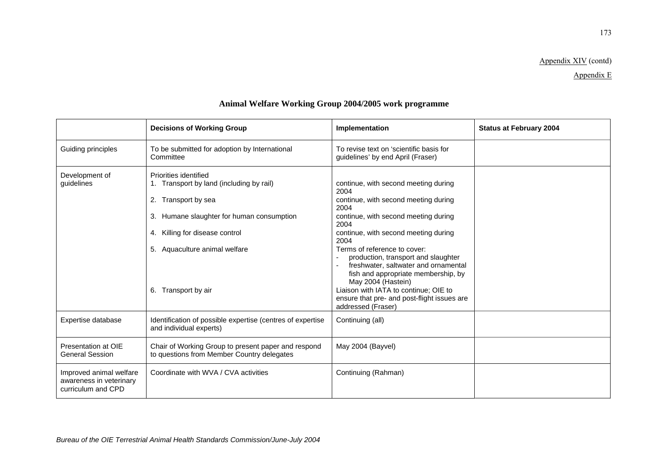# Appendix E

|                                                                          | <b>Decisions of Working Group</b>                                                                                                                                       | Implementation                                                                                                                                                                                                                                                                                 | <b>Status at February 2004</b> |
|--------------------------------------------------------------------------|-------------------------------------------------------------------------------------------------------------------------------------------------------------------------|------------------------------------------------------------------------------------------------------------------------------------------------------------------------------------------------------------------------------------------------------------------------------------------------|--------------------------------|
| Guiding principles                                                       | To be submitted for adoption by International<br>Committee                                                                                                              | To revise text on 'scientific basis for<br>guidelines' by end April (Fraser)                                                                                                                                                                                                                   |                                |
| Development of<br>guidelines                                             | Priorities identified<br>1. Transport by land (including by rail)<br>2. Transport by sea<br>3. Humane slaughter for human consumption<br>4. Killing for disease control | continue, with second meeting during<br>2004<br>continue, with second meeting during<br>2004<br>continue, with second meeting during<br>2004<br>continue, with second meeting during                                                                                                           |                                |
|                                                                          | 5. Aquaculture animal welfare<br>Transport by air<br>6.                                                                                                                 | 2004<br>Terms of reference to cover:<br>production, transport and slaughter<br>freshwater, saltwater and ornamental<br>fish and appropriate membership, by<br>May 2004 (Hastein)<br>Liaison with IATA to continue; OIE to<br>ensure that pre- and post-flight issues are<br>addressed (Fraser) |                                |
| Expertise database                                                       | Identification of possible expertise (centres of expertise<br>and individual experts)                                                                                   | Continuing (all)                                                                                                                                                                                                                                                                               |                                |
| Presentation at OIE<br><b>General Session</b>                            | Chair of Working Group to present paper and respond<br>to questions from Member Country delegates                                                                       | May 2004 (Bayvel)                                                                                                                                                                                                                                                                              |                                |
| Improved animal welfare<br>awareness in veterinary<br>curriculum and CPD | Coordinate with WVA / CVA activities                                                                                                                                    | Continuing (Rahman)                                                                                                                                                                                                                                                                            |                                |

# **Animal Welfare Working Group 2004/2005 work programme**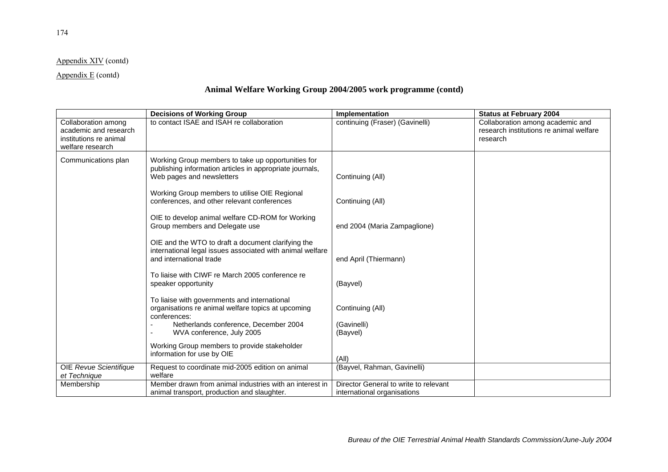# Appendix  $E$  (contd)

# **Animal Welfare Working Group 2004/2005 work programme (contd)**

|                                                                                            | <b>Decisions of Working Group</b>                                                                                                                                                        | Implementation                                                       | <b>Status at February 2004</b>                                                          |
|--------------------------------------------------------------------------------------------|------------------------------------------------------------------------------------------------------------------------------------------------------------------------------------------|----------------------------------------------------------------------|-----------------------------------------------------------------------------------------|
| Collaboration among<br>academic and research<br>institutions re animal<br>welfare research | to contact ISAE and ISAH re collaboration                                                                                                                                                | continuing (Fraser) (Gavinelli)                                      | Collaboration among academic and<br>research institutions re animal welfare<br>research |
| Communications plan                                                                        | Working Group members to take up opportunities for<br>publishing information articles in appropriate journals,<br>Web pages and newsletters                                              | Continuing (All)                                                     |                                                                                         |
|                                                                                            | Working Group members to utilise OIE Regional<br>conferences, and other relevant conferences                                                                                             | Continuing (All)                                                     |                                                                                         |
|                                                                                            | OIE to develop animal welfare CD-ROM for Working<br>Group members and Delegate use                                                                                                       | end 2004 (Maria Zampaglione)                                         |                                                                                         |
|                                                                                            | OIE and the WTO to draft a document clarifying the<br>international legal issues associated with animal welfare<br>and international trade                                               | end April (Thiermann)                                                |                                                                                         |
|                                                                                            | To liaise with CIWF re March 2005 conference re<br>speaker opportunity                                                                                                                   | (Bayvel)                                                             |                                                                                         |
|                                                                                            | To liaise with governments and international<br>organisations re animal welfare topics at upcoming<br>conferences:<br>Netherlands conference, December 2004<br>WVA conference, July 2005 | Continuing (All)<br>(Gavinelli)<br>(Bayvel)                          |                                                                                         |
|                                                                                            | Working Group members to provide stakeholder<br>information for use by OIE                                                                                                               | (A  )                                                                |                                                                                         |
| <b>OIE Revue Scientifique</b><br>et Technique                                              | Request to coordinate mid-2005 edition on animal<br>welfare                                                                                                                              | (Bayvel, Rahman, Gavinelli)                                          |                                                                                         |
| Membership                                                                                 | Member drawn from animal industries with an interest in<br>animal transport, production and slaughter.                                                                                   | Director General to write to relevant<br>international organisations |                                                                                         |